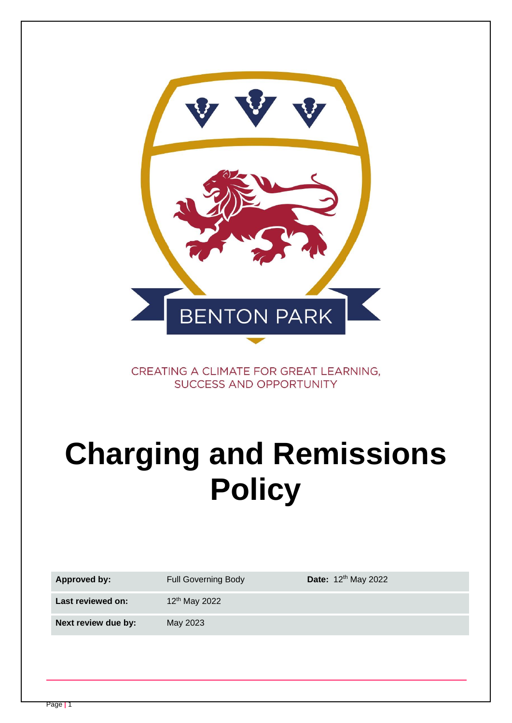

CREATING A CLIMATE FOR GREAT LEARNING. **SUCCESS AND OPPORTUNITY** 

# **Charging and Remissions Policy**

| Approved by:        | <b>Full Governing Body</b> | Date: 12 <sup>th</sup> May 2022 |
|---------------------|----------------------------|---------------------------------|
| Last reviewed on:   | 12 <sup>th</sup> May 2022  |                                 |
| Next review due by: | May 2023                   |                                 |
|                     |                            |                                 |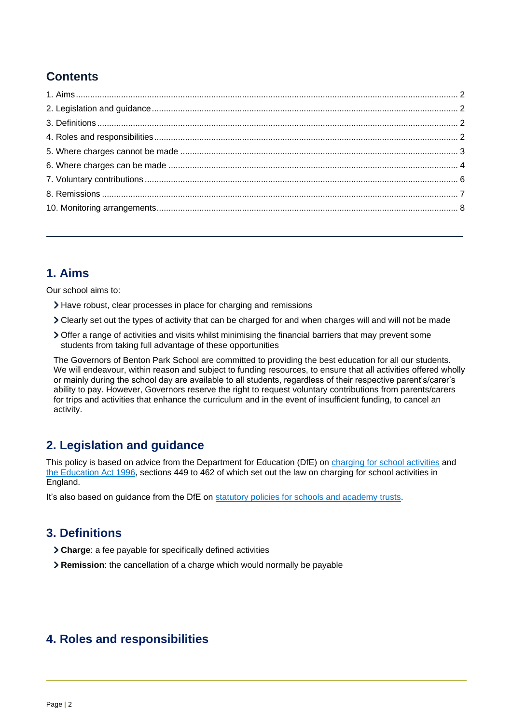## **Contents**

## <span id="page-1-0"></span>**1. Aims**

Our school aims to:

- Have robust, clear processes in place for charging and remissions
- Clearly set out the types of activity that can be charged for and when charges will and will not be made
- Offer a range of activities and visits whilst minimising the financial barriers that may prevent some students from taking full advantage of these opportunities

The Governors of Benton Park School are committed to providing the best education for all our students. We will endeavour, within reason and subject to funding resources, to ensure that all activities offered wholly or mainly during the school day are available to all students, regardless of their respective parent's/carer's ability to pay. However, Governors reserve the right to request voluntary contributions from parents/carers for trips and activities that enhance the curriculum and in the event of insufficient funding, to cancel an activity.

## <span id="page-1-1"></span>**2. Legislation and guidance**

This policy is based on advice from the Department for Education (DfE) on [charging for school activities](https://www.gov.uk/government/publications/charging-for-school-activities) and [the Education Act 1996,](http://www.legislation.gov.uk/ukpga/1996/56/part/VI/chapter/III) sections 449 to 462 of which set out the law on charging for school activities in England.

<span id="page-1-2"></span>It's also based on guidance from the DfE on [statutory policies for schools and academy trusts.](https://www.gov.uk/government/publications/statutory-policies-for-schools-and-academy-trusts/statutory-policies-for-schools-and-academy-trusts)

## **3. Definitions**

- **Charge**: a fee payable for specifically defined activities
- <span id="page-1-3"></span>**Remission**: the cancellation of a charge which would normally be payable

## **4. Roles and responsibilities**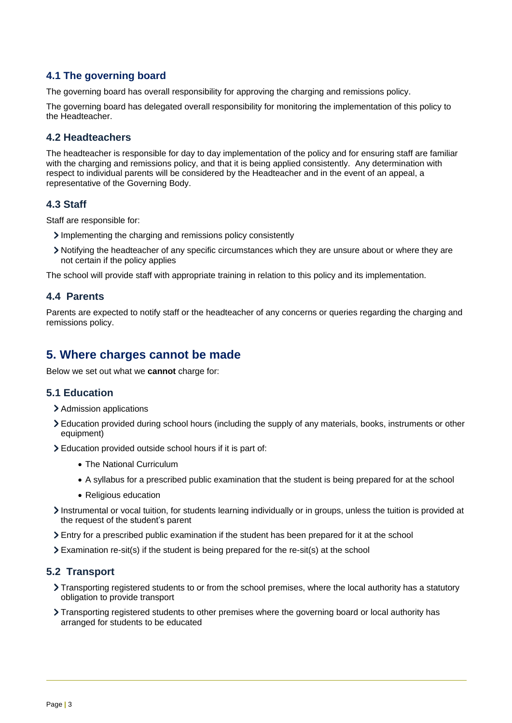#### **4.1 The governing board**

The governing board has overall responsibility for approving the charging and remissions policy.

The governing board has delegated overall responsibility for monitoring the implementation of this policy to the Headteacher.

#### **4.2 Headteachers**

The headteacher is responsible for day to day implementation of the policy and for ensuring staff are familiar with the charging and remissions policy, and that it is being applied consistently. Any determination with respect to individual parents will be considered by the Headteacher and in the event of an appeal, a representative of the Governing Body.

#### **4.3 Staff**

Staff are responsible for:

- Implementing the charging and remissions policy consistently
- Notifying the headteacher of any specific circumstances which they are unsure about or where they are not certain if the policy applies

The school will provide staff with appropriate training in relation to this policy and its implementation.

#### **4.4 Parents**

Parents are expected to notify staff or the headteacher of any concerns or queries regarding the charging and remissions policy.

## <span id="page-2-0"></span>**5. Where charges cannot be made**

Below we set out what we **cannot** charge for:

#### **5.1 Education**

- > Admission applications
- Education provided during school hours (including the supply of any materials, books, instruments or other equipment)
- Education provided outside school hours if it is part of:
	- The National Curriculum
	- A syllabus for a prescribed public examination that the student is being prepared for at the school
	- Religious education
- Instrumental or vocal tuition, for students learning individually or in groups, unless the tuition is provided at the request of the student's parent
- Entry for a prescribed public examination if the student has been prepared for it at the school
- Examination re-sit(s) if the student is being prepared for the re-sit(s) at the school

#### **5.2 Transport**

- Transporting registered students to or from the school premises, where the local authority has a statutory obligation to provide transport
- Transporting registered students to other premises where the governing board or local authority has arranged for students to be educated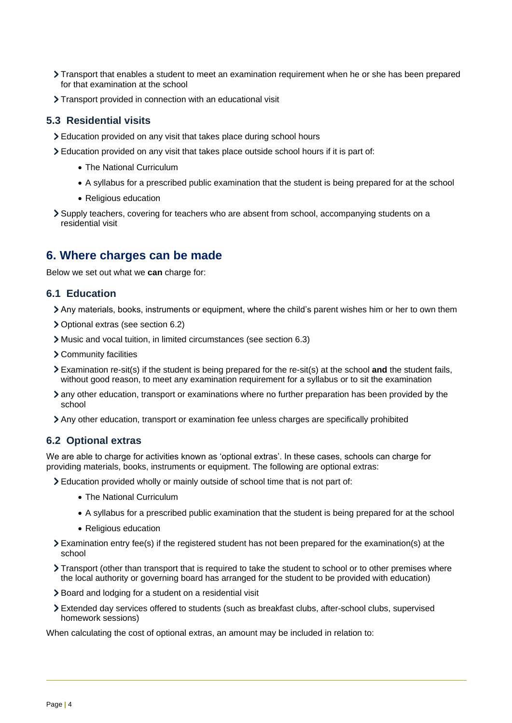- Transport that enables a student to meet an examination requirement when he or she has been prepared for that examination at the school
- Transport provided in connection with an educational visit

#### **5.3 Residential visits**

- Education provided on any visit that takes place during school hours
- Education provided on any visit that takes place outside school hours if it is part of:
	- The National Curriculum
	- A syllabus for a prescribed public examination that the student is being prepared for at the school
	- Religious education
- Supply teachers, covering for teachers who are absent from school, accompanying students on a residential visit

## <span id="page-3-0"></span>**6. Where charges can be made**

Below we set out what we **can** charge for:

#### **6.1 Education**

- Any materials, books, instruments or equipment, where the child's parent wishes him or her to own them
- Optional extras (see section 6.2)
- Music and vocal tuition, in limited circumstances (see section 6.3)
- Community facilities
- Examination re-sit(s) if the student is being prepared for the re-sit(s) at the school **and** the student fails, without good reason, to meet any examination requirement for a syllabus or to sit the examination
- any other education, transport or examinations where no further preparation has been provided by the school
- Any other education, transport or examination fee unless charges are specifically prohibited

#### **6.2 Optional extras**

We are able to charge for activities known as 'optional extras'. In these cases, schools can charge for providing materials, books, instruments or equipment. The following are optional extras:

Education provided wholly or mainly outside of school time that is not part of:

- The National Curriculum
- A syllabus for a prescribed public examination that the student is being prepared for at the school
- Religious education
- Examination entry fee(s) if the registered student has not been prepared for the examination(s) at the school
- Transport (other than transport that is required to take the student to school or to other premises where the local authority or governing board has arranged for the student to be provided with education)
- Board and lodging for a student on a residential visit
- Extended day services offered to students (such as breakfast clubs, after-school clubs, supervised homework sessions)

When calculating the cost of optional extras, an amount may be included in relation to: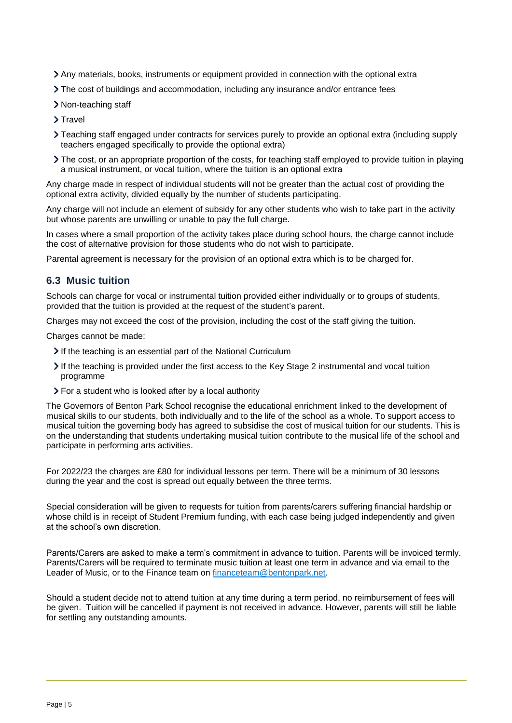- Any materials, books, instruments or equipment provided in connection with the optional extra
- The cost of buildings and accommodation, including any insurance and/or entrance fees
- > Non-teaching staff
- > Travel
- Teaching staff engaged under contracts for services purely to provide an optional extra (including supply teachers engaged specifically to provide the optional extra)
- The cost, or an appropriate proportion of the costs, for teaching staff employed to provide tuition in playing a musical instrument, or vocal tuition, where the tuition is an optional extra

Any charge made in respect of individual students will not be greater than the actual cost of providing the optional extra activity, divided equally by the number of students participating.

Any charge will not include an element of subsidy for any other students who wish to take part in the activity but whose parents are unwilling or unable to pay the full charge.

In cases where a small proportion of the activity takes place during school hours, the charge cannot include the cost of alternative provision for those students who do not wish to participate.

Parental agreement is necessary for the provision of an optional extra which is to be charged for.

#### **6.3 Music tuition**

Schools can charge for vocal or instrumental tuition provided either individually or to groups of students, provided that the tuition is provided at the request of the student's parent.

Charges may not exceed the cost of the provision, including the cost of the staff giving the tuition.

Charges cannot be made:

- If the teaching is an essential part of the National Curriculum
- If the teaching is provided under the first access to the Key Stage 2 instrumental and vocal tuition programme
- For a student who is looked after by a local authority

The Governors of Benton Park School recognise the educational enrichment linked to the development of musical skills to our students, both individually and to the life of the school as a whole. To support access to musical tuition the governing body has agreed to subsidise the cost of musical tuition for our students. This is on the understanding that students undertaking musical tuition contribute to the musical life of the school and participate in performing arts activities.

For 2022/23 the charges are £80 for individual lessons per term. There will be a minimum of 30 lessons during the year and the cost is spread out equally between the three terms.

Special consideration will be given to requests for tuition from parents/carers suffering financial hardship or whose child is in receipt of Student Premium funding, with each case being judged independently and given at the school's own discretion.

Parents/Carers are asked to make a term's commitment in advance to tuition. Parents will be invoiced termly. Parents/Carers will be required to terminate music tuition at least one term in advance and via email to the Leader of Music, or to the Finance team on [financeteam@bentonpark.net.](mailto:financeteam@bentonpark.net)

Should a student decide not to attend tuition at any time during a term period, no reimbursement of fees will be given. Tuition will be cancelled if payment is not received in advance. However, parents will still be liable for settling any outstanding amounts.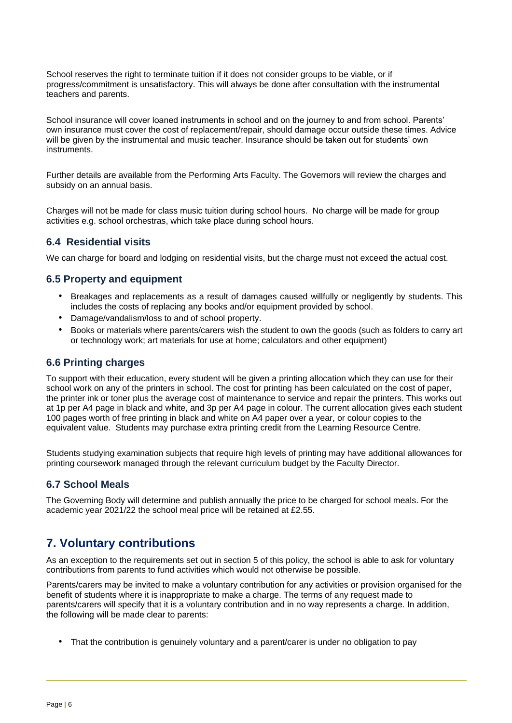School reserves the right to terminate tuition if it does not consider groups to be viable, or if progress/commitment is unsatisfactory. This will always be done after consultation with the instrumental teachers and parents.

School insurance will cover loaned instruments in school and on the journey to and from school. Parents' own insurance must cover the cost of replacement/repair, should damage occur outside these times. Advice will be given by the instrumental and music teacher. Insurance should be taken out for students' own instruments.

Further details are available from the Performing Arts Faculty. The Governors will review the charges and subsidy on an annual basis.

Charges will not be made for class music tuition during school hours. No charge will be made for group activities e.g. school orchestras, which take place during school hours.

#### **6.4 Residential visits**

We can charge for board and lodging on residential visits, but the charge must not exceed the actual cost.

#### **6.5 Property and equipment**

- Breakages and replacements as a result of damages caused willfully or negligently by students. This includes the costs of replacing any books and/or equipment provided by school.
- Damage/vandalism/loss to and of school property.
- Books or materials where parents/carers wish the student to own the goods (such as folders to carry art or technology work; art materials for use at home; calculators and other equipment)

#### **6.6 Printing charges**

To support with their education, every student will be given a printing allocation which they can use for their school work on any of the printers in school. The cost for printing has been calculated on the cost of paper, the printer ink or toner plus the average cost of maintenance to service and repair the printers. This works out at 1p per A4 page in black and white, and 3p per A4 page in colour. The current allocation gives each student 100 pages worth of free printing in black and white on A4 paper over a year, or colour copies to the equivalent value. Students may purchase extra printing credit from the Learning Resource Centre.

Students studying examination subjects that require high levels of printing may have additional allowances for printing coursework managed through the relevant curriculum budget by the Faculty Director.

#### **6.7 School Meals**

The Governing Body will determine and publish annually the price to be charged for school meals. For the academic year 2021/22 the school meal price will be retained at £2.55.

## <span id="page-5-0"></span>**7. Voluntary contributions**

As an exception to the requirements set out in section 5 of this policy, the school is able to ask for voluntary contributions from parents to fund activities which would not otherwise be possible.

Parents/carers may be invited to make a voluntary contribution for any activities or provision organised for the benefit of students where it is inappropriate to make a charge. The terms of any request made to parents/carers will specify that it is a voluntary contribution and in no way represents a charge. In addition, the following will be made clear to parents:

• That the contribution is genuinely voluntary and a parent/carer is under no obligation to pay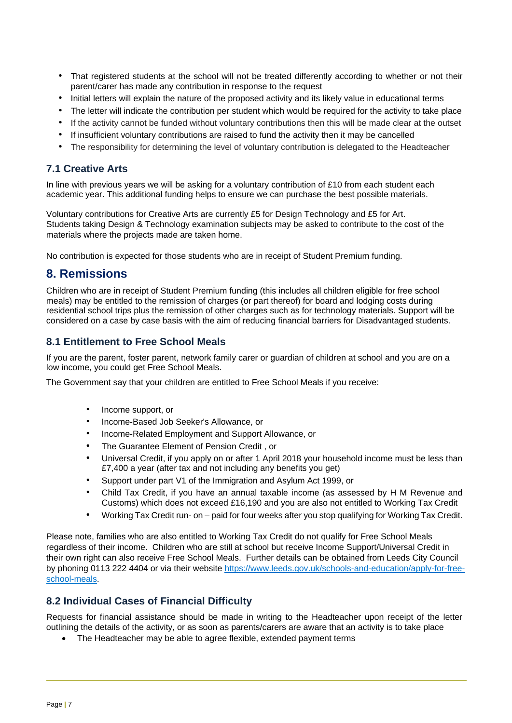- That registered students at the school will not be treated differently according to whether or not their parent/carer has made any contribution in response to the request
- Initial letters will explain the nature of the proposed activity and its likely value in educational terms
- The letter will indicate the contribution per student which would be required for the activity to take place
- If the activity cannot be funded without voluntary contributions then this will be made clear at the outset
- If insufficient voluntary contributions are raised to fund the activity then it may be cancelled
- The responsibility for determining the level of voluntary contribution is delegated to the Headteacher

#### **7.1 Creative Arts**

In line with previous years we will be asking for a voluntary contribution of £10 from each student each academic year. This additional funding helps to ensure we can purchase the best possible materials.

Voluntary contributions for Creative Arts are currently £5 for Design Technology and £5 for Art. Students taking Design & Technology examination subjects may be asked to contribute to the cost of the materials where the projects made are taken home.

No contribution is expected for those students who are in receipt of Student Premium funding.

#### <span id="page-6-0"></span>**8. Remissions**

Children who are in receipt of Student Premium funding (this includes all children eligible for free school meals) may be entitled to the remission of charges (or part thereof) for board and lodging costs during residential school trips plus the remission of other charges such as for technology materials. Support will be considered on a case by case basis with the aim of reducing financial barriers for Disadvantaged students.

#### **8.1 Entitlement to Free School Meals**

If you are the parent, foster parent, network family carer or guardian of children at school and you are on a low income, you could get Free School Meals.

The Government say that your children are entitled to Free School Meals if you receive:

- Income support, or
- Income-Based Job Seeker's Allowance, or
- Income-Related Employment and Support Allowance, or
- The Guarantee Element of Pension Credit , or
- Universal Credit, if you apply on or after 1 April 2018 your household income must be less than £7,400 a year (after tax and not including any benefits you get)
- Support under part V1 of the Immigration and Asylum Act 1999, or
- Child Tax Credit, if you have an annual taxable income (as assessed by H M Revenue and Customs) which does not exceed £16,190 and you are also not entitled to Working Tax Credit
- Working Tax Credit run- on paid for four weeks after you stop qualifying for Working Tax Credit.

Please note, families who are also entitled to Working Tax Credit do not qualify for Free School Meals regardless of their income. Children who are still at school but receive Income Support/Universal Credit in their own right can also receive Free School Meals. Further details can be obtained from Leeds City Council by phoning 0113 222 4404 or via their website [https://www.leeds.gov.uk/schools-and-education/apply-for-free](https://www.leeds.gov.uk/schools-and-education/apply-for-free-school-meals)[school-meals.](https://www.leeds.gov.uk/schools-and-education/apply-for-free-school-meals)

#### **8.2 Individual Cases of Financial Difficulty**

Requests for financial assistance should be made in writing to the Headteacher upon receipt of the letter outlining the details of the activity, or as soon as parents/carers are aware that an activity is to take place

• The Headteacher may be able to agree flexible, extended payment terms